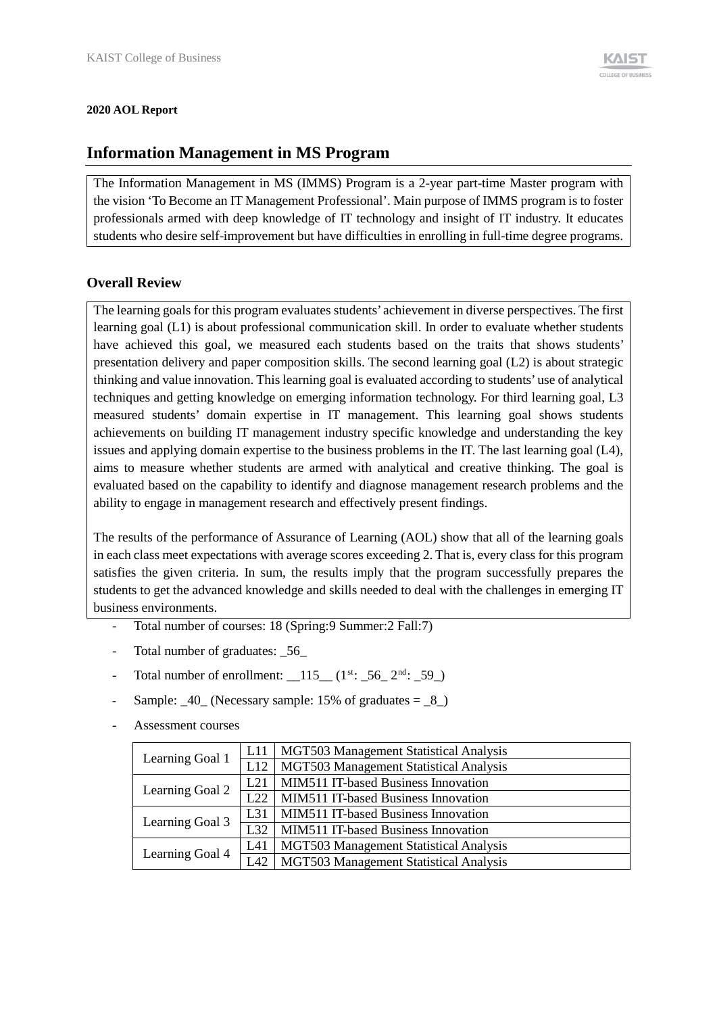#### **2020 AOL Report**

## **Information Management in MS Program**

The Information Management in MS (IMMS) Program is a 2-year part-time Master program with the vision 'To Become an IT Management Professional'. Main purpose of IMMS program is to foster professionals armed with deep knowledge of IT technology and insight of IT industry. It educates students who desire self-improvement but have difficulties in enrolling in full-time degree programs.

### **Overall Review**

The learning goals for this program evaluates students' achievement in diverse perspectives. The first learning goal (L1) is about professional communication skill. In order to evaluate whether students have achieved this goal, we measured each students based on the traits that shows students' presentation delivery and paper composition skills. The second learning goal (L2) is about strategic thinking and value innovation. This learning goal is evaluated according to students' use of analytical techniques and getting knowledge on emerging information technology. For third learning goal, L3 measured students' domain expertise in IT management. This learning goal shows students achievements on building IT management industry specific knowledge and understanding the key issues and applying domain expertise to the business problems in the IT. The last learning goal (L4), aims to measure whether students are armed with analytical and creative thinking. The goal is evaluated based on the capability to identify and diagnose management research problems and the ability to engage in management research and effectively present findings.

The results of the performance of Assurance of Learning (AOL) show that all of the learning goals in each class meet expectations with average scores exceeding 2. That is, every class for this program satisfies the given criteria. In sum, the results imply that the program successfully prepares the students to get the advanced knowledge and skills needed to deal with the challenges in emerging IT business environments.

- Total number of courses: 18 (Spring:9 Summer:2 Fall:7)
- Total number of graduates: \_56\_
- Total number of enrollment:  $\_\_115\_\_ (1^{st}$ :  $\_\_56\_\_2^{nd}$ :  $\_\_59\_\_)$
- Sample:  $\_\frac{40}{ }$  (Necessary sample: 15% of graduates =  $\_\frac{8}{ }$ )
- Assessment courses

| Learning Goal 1 |      | L11   MGT503 Management Statistical Analysis |
|-----------------|------|----------------------------------------------|
|                 |      | L12   MGT503 Management Statistical Analysis |
|                 | L21  | MIM511 IT-based Business Innovation          |
| Learning Goal 2 | 1.22 | <b>MIM511 IT-based Business Innovation</b>   |
|                 | L31  | <b>MIM511 IT-based Business Innovation</b>   |
| Learning Goal 3 | L32  | MIM511 IT-based Business Innovation          |
| Learning Goal 4 | L41  | MGT503 Management Statistical Analysis       |
|                 | L42  | MGT503 Management Statistical Analysis       |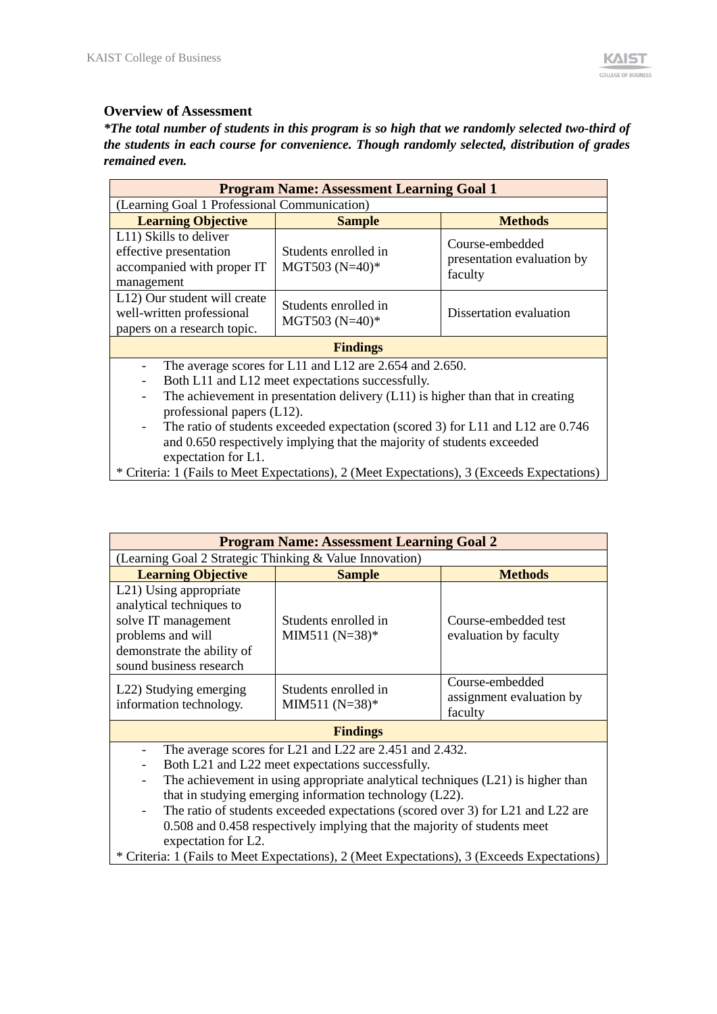### **Overview of Assessment**

*\*The total number of students in this program is so high that we randomly selected two-third of the students in each course for convenience. Though randomly selected, distribution of grades remained even.*

|                                                                                                                                                               | <b>Program Name: Assessment Learning Goal 1</b>                                                                                                                                                                                                                                                                                                              |                                                          |  |  |  |  |  |
|---------------------------------------------------------------------------------------------------------------------------------------------------------------|--------------------------------------------------------------------------------------------------------------------------------------------------------------------------------------------------------------------------------------------------------------------------------------------------------------------------------------------------------------|----------------------------------------------------------|--|--|--|--|--|
| (Learning Goal 1 Professional Communication)                                                                                                                  |                                                                                                                                                                                                                                                                                                                                                              |                                                          |  |  |  |  |  |
| <b>Learning Objective</b>                                                                                                                                     | <b>Sample</b>                                                                                                                                                                                                                                                                                                                                                | <b>Methods</b>                                           |  |  |  |  |  |
| L11) Skills to deliver<br>effective presentation<br>accompanied with proper IT<br>management                                                                  | Students enrolled in<br>MGT503 $(N=40)*$                                                                                                                                                                                                                                                                                                                     | Course-embedded<br>presentation evaluation by<br>faculty |  |  |  |  |  |
| L12) Our student will create<br>Students enrolled in<br>well-written professional<br>Dissertation evaluation<br>MGT503 (N=40)*<br>papers on a research topic. |                                                                                                                                                                                                                                                                                                                                                              |                                                          |  |  |  |  |  |
|                                                                                                                                                               | <b>Findings</b>                                                                                                                                                                                                                                                                                                                                              |                                                          |  |  |  |  |  |
| $\overline{\phantom{a}}$<br>$\overline{\phantom{a}}$<br>professional papers (L12).<br>$\overline{\phantom{a}}$<br>expectation for L1.                         | The average scores for L11 and L12 are 2.654 and 2.650.<br>Both L11 and L12 meet expectations successfully.<br>The achievement in presentation delivery $(L11)$ is higher than that in creating<br>The ratio of students exceeded expectation (scored 3) for L11 and L12 are 0.746<br>and 0.650 respectively implying that the majority of students exceeded |                                                          |  |  |  |  |  |
|                                                                                                                                                               | * Criteria: 1 (Fails to Meet Expectations), 2 (Meet Expectations), 3 (Exceeds Expectations)                                                                                                                                                                                                                                                                  |                                                          |  |  |  |  |  |

|                                                                                                                                                                                                                                                                   | <b>Program Name: Assessment Learning Goal 2</b>                                                                                                                                                                                                                                                                                              |                                                        |  |  |  |  |  |  |
|-------------------------------------------------------------------------------------------------------------------------------------------------------------------------------------------------------------------------------------------------------------------|----------------------------------------------------------------------------------------------------------------------------------------------------------------------------------------------------------------------------------------------------------------------------------------------------------------------------------------------|--------------------------------------------------------|--|--|--|--|--|--|
| (Learning Goal 2 Strategic Thinking & Value Innovation)                                                                                                                                                                                                           |                                                                                                                                                                                                                                                                                                                                              |                                                        |  |  |  |  |  |  |
| <b>Learning Objective</b>                                                                                                                                                                                                                                         | <b>Sample</b>                                                                                                                                                                                                                                                                                                                                | <b>Methods</b>                                         |  |  |  |  |  |  |
| L <sub>21</sub> ) Using appropriate<br>analytical techniques to<br>solve IT management<br>Students enrolled in<br>Course-embedded test<br>problems and will<br>MIM511 $(N=38)*$<br>evaluation by faculty<br>demonstrate the ability of<br>sound business research |                                                                                                                                                                                                                                                                                                                                              |                                                        |  |  |  |  |  |  |
| L <sub>22</sub> ) Studying emerging<br>information technology.                                                                                                                                                                                                    | Students enrolled in<br>MIM511 $(N=38)*$                                                                                                                                                                                                                                                                                                     | Course-embedded<br>assignment evaluation by<br>faculty |  |  |  |  |  |  |
|                                                                                                                                                                                                                                                                   | <b>Findings</b>                                                                                                                                                                                                                                                                                                                              |                                                        |  |  |  |  |  |  |
| $\overline{\phantom{a}}$<br>$\overline{\phantom{a}}$                                                                                                                                                                                                              | The average scores for L21 and L22 are 2.451 and 2.432.<br>Both L21 and L22 meet expectations successfully.<br>The achievement in using appropriate analytical techniques (L21) is higher than<br>that in studying emerging information technology (L22).<br>The ratio of students exceeded expectations (scored over 3) for [21 and [22 are |                                                        |  |  |  |  |  |  |

The ratio of students exceeded expectations (scored over 3) for L21 and L22 are 0.508 and 0.458 respectively implying that the majority of students meet expectation for L2.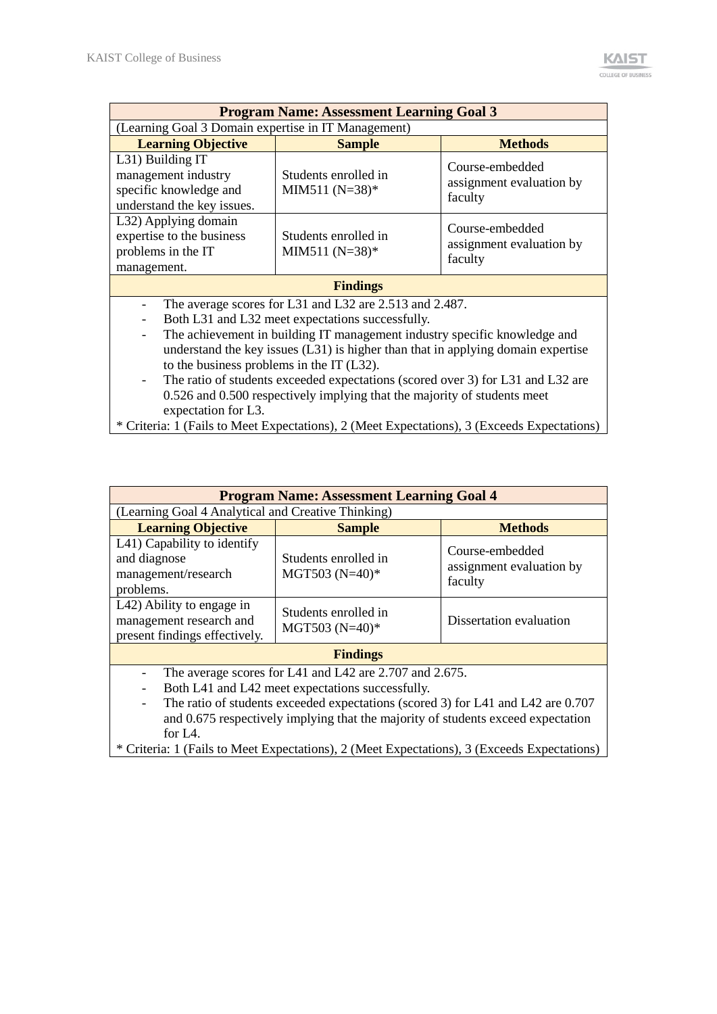| (Learning Goal 3 Domain expertise in IT Management)<br><b>Learning Objective</b>                                                                                                                                                       |                                                                                                                                                                                                                                                    |  |  |  |  |  |  |  |  |  |
|----------------------------------------------------------------------------------------------------------------------------------------------------------------------------------------------------------------------------------------|----------------------------------------------------------------------------------------------------------------------------------------------------------------------------------------------------------------------------------------------------|--|--|--|--|--|--|--|--|--|
| <b>Sample</b>                                                                                                                                                                                                                          | <b>Methods</b>                                                                                                                                                                                                                                     |  |  |  |  |  |  |  |  |  |
| Students enrolled in<br>MIM511 $(N=38)*$                                                                                                                                                                                               | Course-embedded<br>assignment evaluation by<br>faculty                                                                                                                                                                                             |  |  |  |  |  |  |  |  |  |
| Students enrolled in<br>MIM511 $(N=38)*$                                                                                                                                                                                               | Course-embedded<br>assignment evaluation by<br>faculty                                                                                                                                                                                             |  |  |  |  |  |  |  |  |  |
| <b>Findings</b>                                                                                                                                                                                                                        |                                                                                                                                                                                                                                                    |  |  |  |  |  |  |  |  |  |
| The average scores for L31 and L32 are 2.513 and 2.487.<br>Both L31 and L32 meet expectations successfully.<br>to the business problems in the $IT(L32)$ .<br>0.526 and 0.500 respectively implying that the majority of students meet | The achievement in building IT management industry specific knowledge and<br>understand the key issues $(L31)$ is higher than that in applying domain expertise<br>The ratio of students exceeded expectations (scored over 3) for L31 and L32 are |  |  |  |  |  |  |  |  |  |
|                                                                                                                                                                                                                                        | * Criteria: 1 (Fails to Meet Expectations), 2 (Meet Expectations), 3 (Exceeds Expectations)                                                                                                                                                        |  |  |  |  |  |  |  |  |  |

|                                                                                       | <b>Program Name: Assessment Learning Goal 4</b>                                                                                                                                                                                                                                     |                                                        |
|---------------------------------------------------------------------------------------|-------------------------------------------------------------------------------------------------------------------------------------------------------------------------------------------------------------------------------------------------------------------------------------|--------------------------------------------------------|
| (Learning Goal 4 Analytical and Creative Thinking)                                    |                                                                                                                                                                                                                                                                                     |                                                        |
| <b>Learning Objective</b>                                                             | <b>Sample</b>                                                                                                                                                                                                                                                                       | <b>Methods</b>                                         |
| L41) Capability to identify<br>and diagnose<br>management/research<br>problems.       | Students enrolled in<br>MGT503 $(N=40)*$                                                                                                                                                                                                                                            | Course-embedded<br>assignment evaluation by<br>faculty |
| L42) Ability to engage in<br>management research and<br>present findings effectively. | Students enrolled in<br>MGT503 (N=40)*                                                                                                                                                                                                                                              | Dissertation evaluation                                |
|                                                                                       | <b>Findings</b>                                                                                                                                                                                                                                                                     |                                                        |
| $\overline{\phantom{0}}$<br>for $I_4$ .                                               | The average scores for L41 and L42 are 2.707 and 2.675.<br>Both L41 and L42 meet expectations successfully.<br>The ratio of students exceeded expectations (scored 3) for L41 and L42 are 0.707<br>and 0.675 respectively implying that the majority of students exceed expectation |                                                        |
|                                                                                       | * Criteria: 1 (Fails to Meet Expectations), 2 (Meet Expectations), 3 (Exceeds Expectations)                                                                                                                                                                                         |                                                        |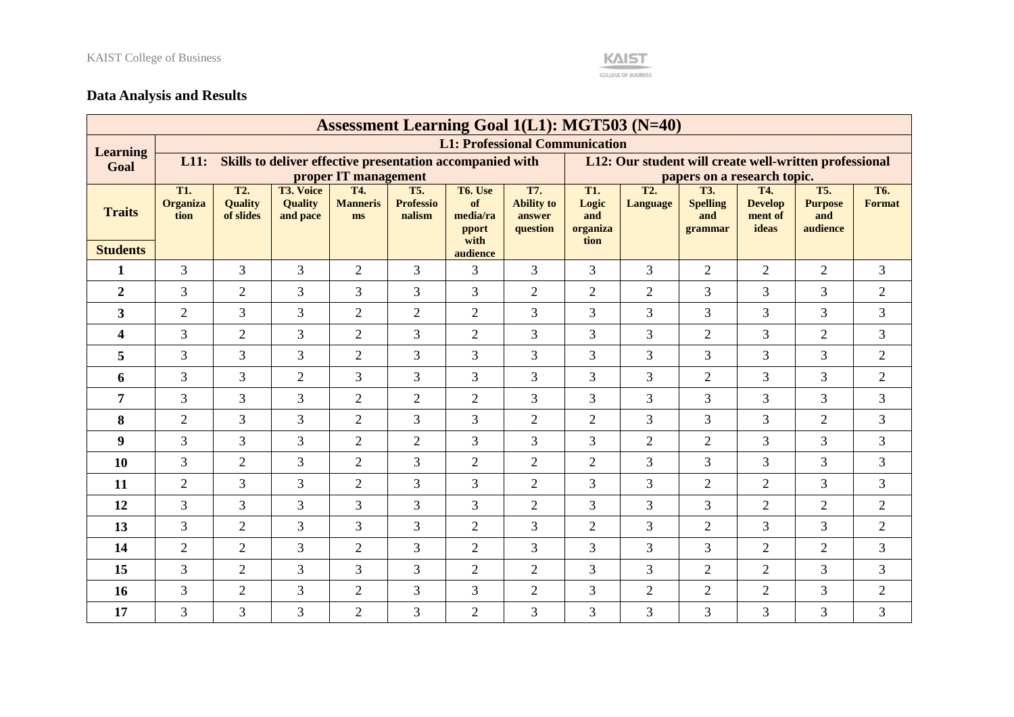

# **Data Analysis and Results**

|                         |                                |                                    |                                                |                              |                                          |                                                           | <b>Assessment Learning Goal 1(L1): MGT503 (N=40)</b> |                                                        |                                     |                                                 |                                           |                                                 |                                   |  |
|-------------------------|--------------------------------|------------------------------------|------------------------------------------------|------------------------------|------------------------------------------|-----------------------------------------------------------|------------------------------------------------------|--------------------------------------------------------|-------------------------------------|-------------------------------------------------|-------------------------------------------|-------------------------------------------------|-----------------------------------|--|
| <b>Learning</b>         |                                |                                    |                                                |                              |                                          |                                                           | <b>L1: Professional Communication</b>                |                                                        |                                     |                                                 |                                           |                                                 |                                   |  |
| Goal                    | L11:                           |                                    |                                                |                              |                                          | Skills to deliver effective presentation accompanied with |                                                      | L12: Our student will create well-written professional |                                     |                                                 |                                           |                                                 |                                   |  |
|                         |                                |                                    |                                                | proper IT management         |                                          |                                                           |                                                      | papers on a research topic.                            |                                     |                                                 |                                           |                                                 |                                   |  |
| <b>Traits</b>           | T1.<br><b>Organiza</b><br>tion | T2.<br><b>Quality</b><br>of slides | <b>T3. Voice</b><br><b>Quality</b><br>and pace | T4.<br><b>Manneris</b><br>ms | <b>T5.</b><br><b>Professio</b><br>nalism | T6. Use<br>of<br>media/ra<br><i>pport</i><br>with         | T7.<br><b>Ability to</b><br>answer<br>question       | T1.<br>Logic<br>and<br>organiza<br>tion                | T <sub>2</sub> .<br><b>Language</b> | <b>T3.</b><br><b>Spelling</b><br>and<br>grammar | T4.<br><b>Develop</b><br>ment of<br>ideas | <b>T5.</b><br><b>Purpose</b><br>and<br>audience | T <sub>6</sub> .<br><b>Format</b> |  |
| <b>Students</b>         |                                |                                    |                                                |                              |                                          | audience                                                  |                                                      |                                                        |                                     |                                                 |                                           |                                                 |                                   |  |
| $\mathbf{1}$            | $\overline{3}$                 | $\overline{3}$                     | 3                                              | $\overline{2}$               | 3                                        | 3                                                         | $\overline{3}$                                       | $\overline{3}$                                         | $\overline{3}$                      | $\overline{2}$                                  | $\overline{2}$                            | $\overline{2}$                                  | $\overline{3}$                    |  |
| $\overline{2}$          | 3                              | $\overline{2}$                     | 3                                              | 3                            | 3                                        | $\overline{3}$                                            | 2                                                    | $\overline{2}$                                         | $\overline{2}$                      | 3                                               | 3                                         | 3                                               | $\mathbf{2}$                      |  |
| $\overline{\mathbf{3}}$ | $\overline{2}$                 | 3                                  | 3                                              | $\overline{2}$               | $\overline{2}$                           | $\overline{2}$                                            | 3                                                    | 3                                                      | $\overline{3}$                      | 3                                               | 3                                         | 3                                               | 3                                 |  |
| $\overline{\mathbf{4}}$ | 3                              | $\overline{2}$                     | 3                                              | $\overline{2}$               | 3                                        | $\overline{2}$                                            | 3                                                    | 3                                                      | 3                                   | $\overline{2}$                                  | 3                                         | $\overline{2}$                                  | 3                                 |  |
| 5                       | 3                              | 3                                  | 3                                              | $\overline{2}$               | 3                                        | 3                                                         | $\overline{3}$                                       | $\overline{3}$                                         | 3                                   | 3                                               | 3                                         | 3                                               | $\sqrt{2}$                        |  |
| 6                       | 3                              | 3                                  | $\overline{2}$                                 | 3                            | 3                                        | 3                                                         | 3                                                    | $\overline{3}$                                         | 3                                   | $\overline{2}$                                  | 3                                         | 3                                               | $\overline{2}$                    |  |
| 7                       | $\overline{3}$                 | 3                                  | 3                                              | $\overline{2}$               | $\overline{2}$                           | $\overline{2}$                                            | $\overline{3}$                                       | $\overline{3}$                                         | $\overline{3}$                      | 3                                               | 3                                         | 3                                               | 3                                 |  |
| 8                       | $\overline{2}$                 | 3                                  | 3                                              | $\overline{2}$               | 3                                        | 3                                                         | 2                                                    | 2                                                      | $\overline{3}$                      | 3                                               | 3                                         | $\overline{2}$                                  | 3                                 |  |
| $\boldsymbol{9}$        | 3                              | 3                                  | 3                                              | $\overline{2}$               | $\overline{2}$                           | $\overline{3}$                                            | 3                                                    | $\overline{3}$                                         | $\overline{2}$                      | $\overline{2}$                                  | 3                                         | 3                                               | 3                                 |  |
| 10                      | $\overline{3}$                 | $\overline{2}$                     | 3                                              | $\overline{2}$               | 3                                        | $\overline{2}$                                            | $\overline{2}$                                       | 2                                                      | $\overline{3}$                      | 3                                               | 3                                         | 3                                               | 3                                 |  |
| 11                      | $\overline{2}$                 | 3                                  | 3                                              | $\overline{2}$               | 3                                        | 3                                                         | $\overline{2}$                                       | $\overline{3}$                                         | 3                                   | $\overline{2}$                                  | $\overline{2}$                            | 3                                               | 3                                 |  |
| 12                      | $\overline{3}$                 | 3                                  | 3                                              | 3                            | 3                                        | 3                                                         | $\overline{2}$                                       | $\overline{3}$                                         | 3                                   | 3                                               | $\overline{2}$                            | $\overline{2}$                                  | $\overline{2}$                    |  |
| 13                      | $\overline{3}$                 | $\overline{2}$                     | 3                                              | $\overline{3}$               | 3                                        | $\overline{2}$                                            | $\overline{3}$                                       | $\overline{2}$                                         | $\overline{3}$                      | $\overline{2}$                                  | 3                                         | 3                                               | $\mathfrak{2}$                    |  |
| 14                      | $\overline{2}$                 | $\overline{2}$                     | 3                                              | $\overline{2}$               | 3                                        | $\overline{2}$                                            | $\overline{3}$                                       | $\overline{3}$                                         | $\overline{3}$                      | 3                                               | $\overline{2}$                            | $\overline{2}$                                  | 3                                 |  |
| 15                      | 3                              | $\overline{2}$                     | 3                                              | 3                            | $\overline{3}$                           | $\overline{2}$                                            | $\overline{2}$                                       | $\overline{3}$                                         | $\overline{3}$                      | $\overline{2}$                                  | $\overline{2}$                            | $\overline{3}$                                  | 3                                 |  |
| 16                      | 3                              | $\overline{2}$                     | 3                                              | $\overline{2}$               | 3                                        | 3                                                         | $\overline{2}$                                       | $\overline{3}$                                         | $\overline{2}$                      | $\overline{2}$                                  | $\overline{2}$                            | 3                                               | $\overline{2}$                    |  |
| 17                      | 3                              | 3                                  | $\overline{3}$                                 | $\overline{2}$               | 3                                        | $\overline{2}$                                            | 3                                                    | $\overline{3}$                                         | $\overline{3}$                      | 3                                               | 3                                         | 3                                               | $\overline{3}$                    |  |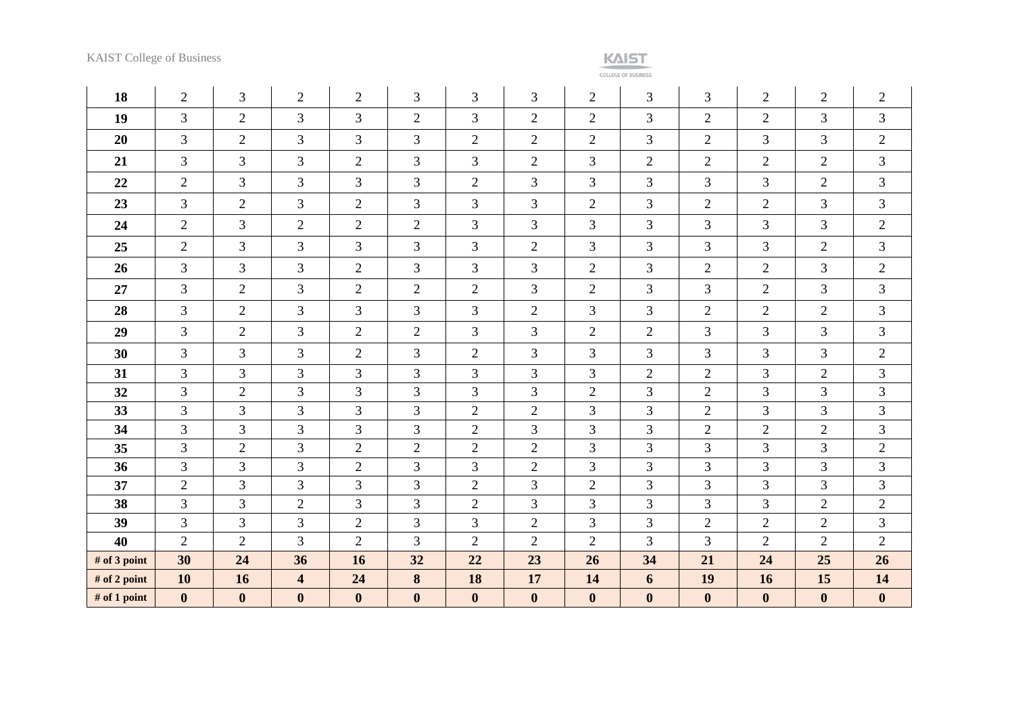**COLLEGE OF BUSINESS** 

| 18           | $\overline{2}$   | 3                | $\overline{2}$          | $\overline{2}$   | 3                | 3                | 3                | $\overline{2}$ | 3                | 3                | $\overline{2}$   | 2              | $\overline{c}$   |
|--------------|------------------|------------------|-------------------------|------------------|------------------|------------------|------------------|----------------|------------------|------------------|------------------|----------------|------------------|
| 19           | $\overline{3}$   | $\overline{2}$   | 3                       | $\overline{3}$   | $\mathbf{2}$     | 3                | $\overline{2}$   | $\overline{2}$ | 3                | $\overline{2}$   | $\overline{2}$   | $\overline{3}$ | $\overline{3}$   |
| 20           | 3                | $\overline{2}$   | 3                       | 3                | 3                | $\overline{2}$   | $\overline{2}$   | $\overline{2}$ | $\overline{3}$   | 2                | 3                | $\overline{3}$ | $\overline{2}$   |
| 21           | 3                | 3                | 3                       | $\overline{2}$   | 3                | 3                | $\overline{2}$   | 3              | $\overline{2}$   | $\mathbf{2}$     | $\overline{2}$   | $\overline{2}$ | 3                |
| 22           | $\overline{2}$   | 3                | 3                       | 3                | 3                | $\overline{2}$   | 3                | 3              | 3                | 3                | 3                | $\overline{2}$ | 3                |
| 23           | 3                | $\overline{2}$   | 3                       | $\overline{2}$   | 3                | 3                | 3                | $\overline{2}$ | 3                | $\overline{2}$   | $\overline{2}$   | $\overline{3}$ | 3                |
| 24           | $\overline{2}$   | 3                | $\overline{2}$          | $\overline{2}$   | $\mathbf{2}$     | 3                | 3                | 3              | 3                | 3                | 3                | 3              | $\overline{2}$   |
| 25           | $\overline{2}$   | 3                | 3                       | 3                | 3                | 3                | $\overline{2}$   | 3              | 3                | 3                | 3                | $\overline{2}$ | 3                |
| 26           | 3                | 3                | 3                       | $\overline{2}$   | 3                | 3                | $\overline{3}$   | $\overline{2}$ | $\overline{3}$   | $\overline{2}$   | $\overline{2}$   | $\overline{3}$ | $\overline{2}$   |
| 27           | 3                | $\overline{2}$   | 3                       | $\overline{2}$   | $\mathbf{2}$     | $\overline{2}$   | 3                | $\overline{2}$ | 3                | 3                | $\overline{2}$   | $\overline{3}$ | 3                |
| 28           | $\overline{3}$   | $\overline{2}$   | $\overline{3}$          | 3                | 3                | 3                | $\overline{2}$   | 3              | $\overline{3}$   | $\overline{2}$   | $\overline{2}$   | 2              | 3                |
| 29           | $\overline{3}$   | $\overline{2}$   | 3                       | $\overline{2}$   | $\mathbf{2}$     | 3                | 3                | $\overline{2}$ | $\overline{2}$   | 3                | 3                | $\overline{3}$ | 3                |
| 30           | $\overline{3}$   | 3                | 3                       | $\overline{2}$   | 3                | $\overline{2}$   | 3                | $\overline{3}$ | 3                | $\mathfrak{Z}$   | 3                | 3              | $\overline{2}$   |
| 31           | 3                | 3                | 3                       | 3                | 3                | $\mathfrak{Z}$   | 3                | 3              | $\overline{2}$   | $\overline{2}$   | 3                | $\overline{2}$ | 3                |
| 32           | $\overline{3}$   | $\overline{c}$   | $\mathfrak{Z}$          | 3                | 3                | 3                | 3                | $\overline{2}$ | 3                | $\overline{2}$   | $\mathfrak{Z}$   | $\overline{3}$ | 3                |
| 33           | 3                | 3                | 3                       | 3                | 3                | $\overline{2}$   | $\overline{2}$   | 3              | 3                | $\overline{2}$   | 3                | 3              | 3                |
| 34           | 3                | 3                | 3                       | 3                | 3                | $\overline{2}$   | 3                | 3              | $\overline{3}$   | $\overline{2}$   | $\overline{2}$   | $\overline{2}$ | 3                |
| 35           | 3                | $\overline{2}$   | 3                       | $\mathbf{2}$     | $\mathbf{2}$     | $\mathfrak{2}$   | $\sqrt{2}$       | 3              | 3                | 3                | 3                | $\overline{3}$ | $\overline{c}$   |
| 36           | 3                | 3                | 3                       | $\mathbf{2}$     | 3                | 3                | $\overline{2}$   | 3              | 3                | 3                | 3                | 3              | 3                |
| 37           | $\overline{2}$   | 3                | 3                       | 3                | 3                | $\overline{2}$   | 3                | $\overline{2}$ | 3                | 3                | 3                | 3              | 3                |
| 38           | $\overline{3}$   | 3                | $\mathfrak{2}$          | 3                | 3                | $\sqrt{2}$       | 3                | 3              | $\overline{3}$   | 3                | 3                | $\overline{2}$ | $\overline{c}$   |
| 39           | $\overline{3}$   | 3                | $\overline{3}$          | $\overline{2}$   | 3                | 3                | $\overline{2}$   | 3              | $\overline{3}$   | $\mathbf{2}$     | $\overline{2}$   | $\overline{2}$ | $\overline{3}$   |
| 40           | $\overline{2}$   | $\overline{2}$   | 3                       | $\overline{2}$   | 3                | $\overline{2}$   | $\overline{2}$   | $\overline{2}$ | 3                | 3                | $\overline{2}$   | $\overline{2}$ | $\overline{2}$   |
| # of 3 point | 30               | 24               | 36                      | 16               | 32               | 22               | 23               | 26             | 34               | 21               | 24               | 25             | 26               |
| # of 2 point | 10               | 16               | $\overline{\mathbf{4}}$ | 24               | 8                | 18               | 17               | 14             | 6                | 19               | 16               | 15             | 14               |
| # of 1 point | $\boldsymbol{0}$ | $\boldsymbol{0}$ | $\boldsymbol{0}$        | $\boldsymbol{0}$ | $\boldsymbol{0}$ | $\boldsymbol{0}$ | $\boldsymbol{0}$ | $\mathbf{0}$   | $\boldsymbol{0}$ | $\boldsymbol{0}$ | $\boldsymbol{0}$ | $\mathbf{0}$   | $\boldsymbol{0}$ |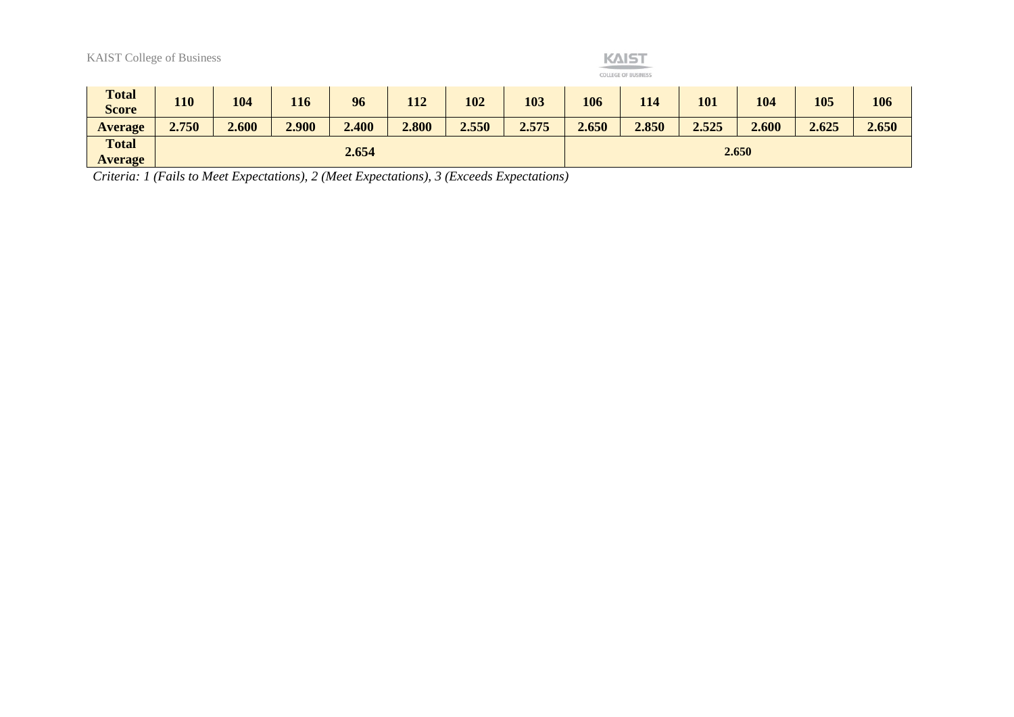|                                | <b>KAIST</b><br><b>KAIST College of Business</b><br><b>COLLEGE OF BUSINESS</b> |       |       |       |       |       |       |       |       |       |       |       |       |
|--------------------------------|--------------------------------------------------------------------------------|-------|-------|-------|-------|-------|-------|-------|-------|-------|-------|-------|-------|
| <b>Total</b><br><b>Score</b>   | 110                                                                            | 104   | 116   | 96    | 112   | 102   | 103   | 106   | 114   | 101   | 104   | 105   | 106   |
| <b>Average</b>                 | 2.750                                                                          | 2.600 | 2.900 | 2.400 | 2.800 | 2.550 | 2.575 | 2.650 | 2.850 | 2.525 | 2.600 | 2.625 | 2.650 |
| <b>Total</b><br><b>Average</b> |                                                                                |       |       | 2.654 |       |       |       | 2.650 |       |       |       |       |       |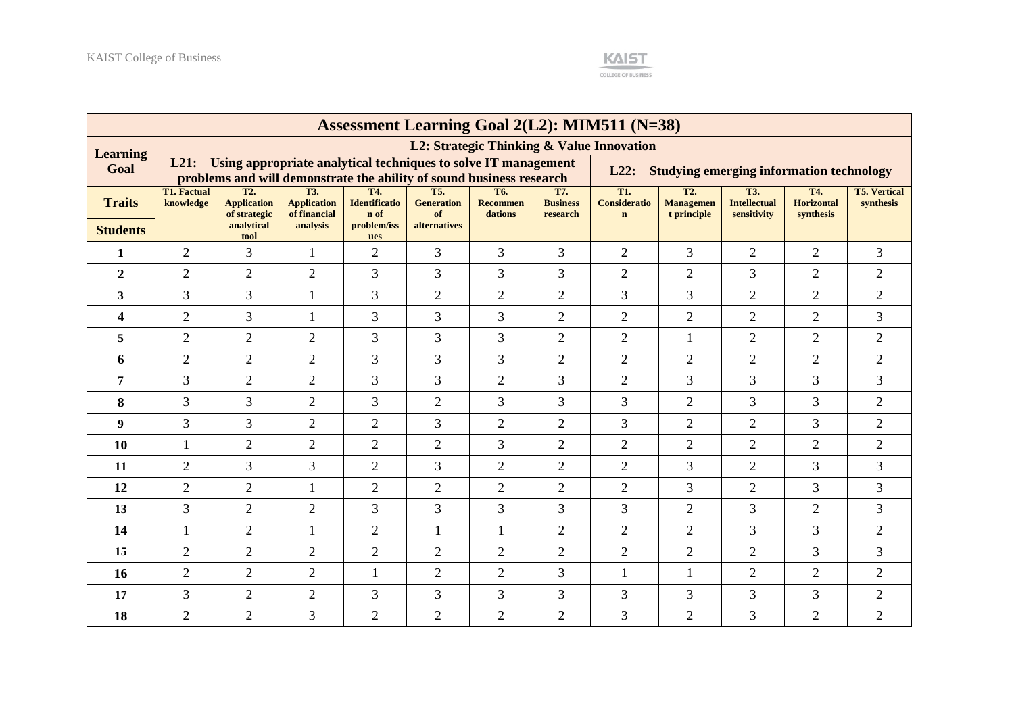

|                 | <b>Assessment Learning Goal 2(L2): MIM511 (N=38)</b> |                                                                                                              |                           |                             |                                 |                        |                        |                                                         |                                      |                                   |                          |                                  |  |
|-----------------|------------------------------------------------------|--------------------------------------------------------------------------------------------------------------|---------------------------|-----------------------------|---------------------------------|------------------------|------------------------|---------------------------------------------------------|--------------------------------------|-----------------------------------|--------------------------|----------------------------------|--|
| <b>Learning</b> |                                                      |                                                                                                              |                           |                             |                                 |                        |                        | L2: Strategic Thinking & Value Innovation               |                                      |                                   |                          |                                  |  |
| Goal            | L21:                                                 | Using appropriate analytical techniques to solve IT management                                               |                           |                             |                                 |                        |                        | L22:<br><b>Studying emerging information technology</b> |                                      |                                   |                          |                                  |  |
| <b>Traits</b>   | <b>T1. Factual</b><br>knowledge                      | problems and will demonstrate the ability of sound business research<br>T <sub>2</sub><br><b>Application</b> | T3.<br><b>Application</b> | T4.<br><b>Identificatio</b> | <b>T5.</b><br><b>Generation</b> | T6.<br><b>Recommen</b> | T7.<br><b>Business</b> | T1.<br><b>Consideratio</b>                              | T <sub>2</sub> .<br><b>Managemen</b> | <b>T3.</b><br><b>Intellectual</b> | T4.<br><b>Horizontal</b> | <b>T5. Vertical</b><br>synthesis |  |
|                 |                                                      | of strategic<br>analytical                                                                                   | of financial<br>analysis  | n of<br>problem/iss         | of<br><b>alternatives</b>       | dations                | research               | $\mathbf n$                                             | t principle                          | sensitivity                       | synthesis                |                                  |  |
| <b>Students</b> |                                                      | tool                                                                                                         |                           | ues                         |                                 |                        |                        |                                                         |                                      |                                   |                          |                                  |  |
| 1               | $\overline{2}$                                       | 3                                                                                                            | $\mathbf{1}$              | $\overline{2}$              | 3                               | 3                      | $\overline{3}$         | $\overline{2}$                                          | 3                                    | $\overline{2}$                    | 2                        | 3                                |  |
| $\overline{2}$  | $\overline{2}$                                       | $\overline{2}$                                                                                               | $\overline{2}$            | 3                           | 3                               | 3                      | $\overline{3}$         | $\overline{2}$                                          | $\overline{2}$                       | 3                                 | $\overline{2}$           | $\overline{2}$                   |  |
| 3               | 3                                                    | 3                                                                                                            | $\mathbf{1}$              | 3                           | $\overline{2}$                  | $\overline{2}$         | 2                      | 3                                                       | 3                                    | $\overline{2}$                    | 2                        | 2                                |  |
| 4               | $\overline{2}$                                       | 3                                                                                                            | 1                         | 3                           | 3                               | 3                      | $\overline{2}$         | $\overline{2}$                                          | $\overline{2}$                       | $\overline{2}$                    | $\overline{2}$           | 3                                |  |
| 5               | $\overline{2}$                                       | $\overline{2}$                                                                                               | $\overline{2}$            | $\mathfrak{Z}$              | 3                               | $\overline{3}$         | $\overline{2}$         | $\overline{2}$                                          | 1                                    | $\overline{2}$                    | $\overline{2}$           | $\overline{2}$                   |  |
| 6               | $\overline{2}$                                       | $\overline{2}$                                                                                               | $\overline{2}$            | 3                           | 3                               | 3                      | $\overline{2}$         | $\overline{2}$                                          | $\overline{2}$                       | $\overline{2}$                    | $\overline{2}$           | $\overline{2}$                   |  |
| 7               | $\overline{3}$                                       | $\overline{2}$                                                                                               | $\overline{2}$            | 3                           | 3                               | $\overline{2}$         | $\overline{3}$         | $\overline{2}$                                          | 3                                    | 3                                 | $\overline{3}$           | 3                                |  |
| 8               | 3                                                    | 3                                                                                                            | $\mathbf{2}$              | 3                           | $\overline{2}$                  | 3                      | 3                      | $\overline{3}$                                          | $\overline{2}$                       | 3                                 | 3                        | $\overline{2}$                   |  |
| 9               | 3                                                    | 3                                                                                                            | $\overline{2}$            | $\overline{2}$              | 3                               | $\overline{2}$         | $\overline{2}$         | 3                                                       | $\overline{2}$                       | $\overline{2}$                    | 3                        | $\overline{2}$                   |  |
| 10              | 1                                                    | $\overline{2}$                                                                                               | $\overline{2}$            | $\overline{2}$              | $\overline{2}$                  | 3                      | $\overline{2}$         | $\overline{2}$                                          | $\overline{2}$                       | $\overline{2}$                    | $\overline{2}$           | $\overline{2}$                   |  |
| 11              | $\overline{2}$                                       | 3                                                                                                            | 3                         | $\overline{2}$              | 3                               | $\overline{2}$         | $\overline{2}$         | $\overline{2}$                                          | 3                                    | $\overline{2}$                    | $\overline{3}$           | 3                                |  |
| 12              | $\overline{2}$                                       | $\overline{2}$                                                                                               | 1                         | $\overline{2}$              | $\overline{2}$                  | $\overline{2}$         | $\overline{2}$         | $\overline{2}$                                          | 3                                    | $\overline{2}$                    | 3                        | 3                                |  |
| 13              | $\overline{3}$                                       | $\overline{2}$                                                                                               | $\overline{2}$            | 3                           | 3                               | 3                      | 3                      | 3                                                       | $\overline{2}$                       | 3                                 | $\overline{2}$           | 3                                |  |
| 14              | 1                                                    | $\overline{2}$                                                                                               | 1                         | $\overline{2}$              | 1                               | 1                      | $\overline{2}$         | $\overline{2}$                                          | $\overline{2}$                       | 3                                 | 3                        | $\overline{2}$                   |  |
| 15              | $\overline{2}$                                       | $\overline{2}$                                                                                               | $\overline{2}$            | $\overline{2}$              | $\overline{2}$                  | $\overline{2}$         | $\overline{2}$         | $\overline{2}$                                          | $\overline{2}$                       | $\overline{2}$                    | 3                        | 3                                |  |
| <b>16</b>       | $\overline{2}$                                       | $\overline{2}$                                                                                               | $\overline{2}$            | 1                           | $\mathfrak{2}$                  | $\overline{2}$         | 3                      | $\mathbf{1}$                                            | 1                                    | $\overline{2}$                    | $\overline{2}$           | $\overline{2}$                   |  |
| 17              | 3                                                    | $\overline{2}$                                                                                               | $\overline{2}$            | 3                           | 3                               | 3                      | 3                      | 3                                                       | 3                                    | 3                                 | 3                        | $\overline{2}$                   |  |
| 18              | $\overline{2}$                                       | $\overline{2}$                                                                                               | 3                         | $\overline{2}$              | $\overline{2}$                  | $\overline{2}$         | $\overline{2}$         | 3                                                       | $\overline{2}$                       | 3                                 | $\overline{2}$           | $\overline{2}$                   |  |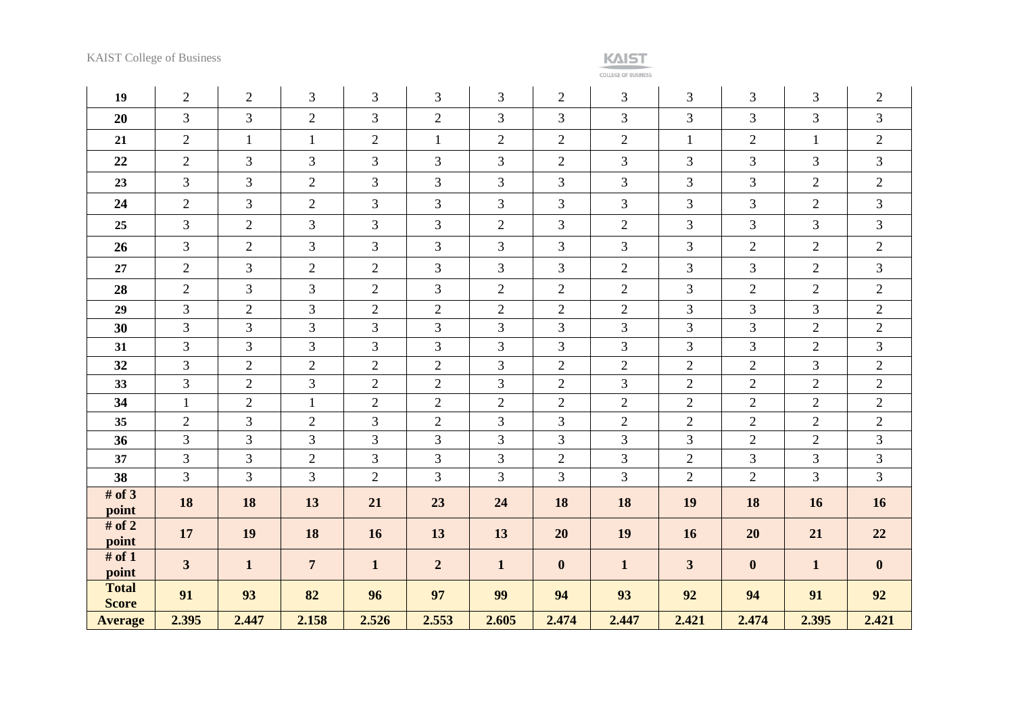**COLLEGE OF BUSINESS** 

| 19                           | $\overline{2}$          | $\overline{2}$ | $\overline{3}$ | 3              | $\overline{3}$ | 3              | $\overline{2}$   | 3              | 3              | 3              | 3              | $\mathbf{2}$   |
|------------------------------|-------------------------|----------------|----------------|----------------|----------------|----------------|------------------|----------------|----------------|----------------|----------------|----------------|
| 20                           | $\overline{3}$          | $\overline{3}$ | $\overline{2}$ | 3              | $\overline{2}$ | 3              | 3                | 3              | 3              | 3              | 3              | $\overline{3}$ |
| 21                           | $\overline{2}$          | $\mathbf{1}$   | $\mathbf{1}$   | $\overline{2}$ | $\mathbf{1}$   | $\overline{2}$ | $\overline{2}$   | $\mathbf{2}$   | $\mathbf{1}$   | $\overline{2}$ | $\mathbf{1}$   | $\overline{2}$ |
| 22                           | 2                       | 3              | 3              | 3              | 3              | 3              | $\overline{2}$   | 3              | $\overline{3}$ | 3              | 3              | $\mathfrak{Z}$ |
| 23                           | $\overline{3}$          | 3              | $\mathbf{2}$   | 3              | $\overline{3}$ | 3              | 3                | 3              | 3              | $\overline{3}$ | $\overline{2}$ | $\overline{2}$ |
| 24                           | 2                       | $\overline{3}$ | $\overline{2}$ | 3              | $\overline{3}$ | 3              | $\overline{3}$   | 3              | 3              | 3              | $\overline{2}$ | $\mathfrak{Z}$ |
| 25                           | $\overline{3}$          | $\overline{2}$ | $\mathfrak{Z}$ | 3              | $\overline{3}$ | $\overline{2}$ | 3                | $\mathbf{2}$   | 3              | 3              | $\mathfrak{Z}$ | $\mathfrak{Z}$ |
| 26                           | $\overline{3}$          | $\overline{2}$ | 3              | 3              | $\overline{3}$ | 3              | 3                | 3              | 3              | $\overline{2}$ | $\overline{2}$ | $\overline{2}$ |
| 27                           | $\overline{2}$          | 3              | $\overline{2}$ | $\overline{2}$ | $\overline{3}$ | 3              | 3                | $\overline{2}$ | 3              | 3              | $\overline{2}$ | $\overline{3}$ |
| 28                           | $\overline{2}$          | 3              | 3              | $\mathbf{2}$   | 3              | $\overline{2}$ | $\mathbf{2}$     | $\sqrt{2}$     | 3              | $\sqrt{2}$     | $\mathbf{2}$   | $\overline{2}$ |
| 29                           | $\overline{3}$          | $\overline{2}$ | 3              | $\overline{c}$ | $\overline{2}$ | $\overline{2}$ | $\overline{2}$   | $\overline{2}$ | $\overline{3}$ | $\overline{3}$ | 3              | $\overline{2}$ |
| 30                           | $\overline{3}$          | 3              | 3              | 3              | 3              | 3              | $\overline{3}$   | 3              | 3              | $\overline{3}$ | $\overline{2}$ | $\overline{2}$ |
| 31                           | $\overline{3}$          | $\overline{3}$ | 3              | 3              | $\overline{3}$ | 3              | $\overline{3}$   | 3              | 3              | $\overline{3}$ | $\overline{2}$ | 3              |
| 32                           | $\overline{3}$          | $\overline{2}$ | $\overline{2}$ | $\mathbf{2}$   | $\overline{2}$ | 3              | $\overline{2}$   | $\overline{2}$ | $\overline{2}$ | $\overline{2}$ | 3              | $\overline{2}$ |
| 33                           | $\overline{3}$          | $\sqrt{2}$     | $\mathfrak{Z}$ | $\mathbf{2}$   | $\overline{2}$ | 3              | $\mathbf{2}$     | $\mathfrak{Z}$ | $\mathbf{2}$   | $\sqrt{2}$     | $\mathbf{2}$   | $\overline{2}$ |
| 34                           | $\mathbf{1}$            | $\sqrt{2}$     | $\mathbf{1}$   | $\mathbf{2}$   | $\mathbf{2}$   | $\overline{2}$ | $\overline{2}$   | $\mathfrak{2}$ | $\sqrt{2}$     | $\overline{2}$ | $\overline{2}$ | $\mathbf{2}$   |
| 35                           | $\overline{2}$          | 3              | $\overline{2}$ | 3              | $\overline{2}$ | 3              | 3                | $\overline{2}$ | $\overline{2}$ | $\overline{2}$ | $\overline{2}$ | $\overline{2}$ |
| 36                           | $\overline{3}$          | 3              | 3              | 3              | $\overline{3}$ | 3              | 3                | 3              | 3              | $\sqrt{2}$     | $\sqrt{2}$     | 3              |
| 37                           | $\overline{3}$          | 3              | $\mathfrak{2}$ | 3              | $\overline{3}$ | 3              | $\overline{2}$   | 3              | $\overline{2}$ | 3              | 3              | $\mathfrak{Z}$ |
| 38                           | $\overline{3}$          | $\overline{3}$ | 3              | $\overline{2}$ | $\overline{3}$ | $\overline{3}$ | $\overline{3}$   | 3              | $\overline{2}$ | $\overline{2}$ | $\overline{3}$ | $\overline{3}$ |
| # of $3$<br>point            | 18                      | 18             | 13             | 21             | 23             | 24             | 18               | 18             | 19             | 18             | 16             | 16             |
| # of $2$<br>point            | 17                      | 19             | 18             | 16             | 13             | 13             | 20               | 19             | <b>16</b>      | 20             | 21             | 22             |
| # of $1$<br>point            | $\overline{\mathbf{3}}$ | $\mathbf{1}$   | $\overline{7}$ | $\mathbf{1}$   | $\overline{2}$ | $\mathbf{1}$   | $\boldsymbol{0}$ | $\mathbf{1}$   | $\mathbf{3}$   | $\mathbf{0}$   | $\mathbf{1}$   | $\mathbf{0}$   |
| <b>Total</b><br><b>Score</b> | 91                      | 93             | 82             | 96             | 97             | 99             | 94               | 93             | 92             | 94             | 91             | 92             |
| <b>Average</b>               | 2.395                   | 2.447          | 2.158          | 2.526          | 2.553          | 2.605          | 2.474            | 2.447          | 2.421          | 2.474          | 2.395          | 2.421          |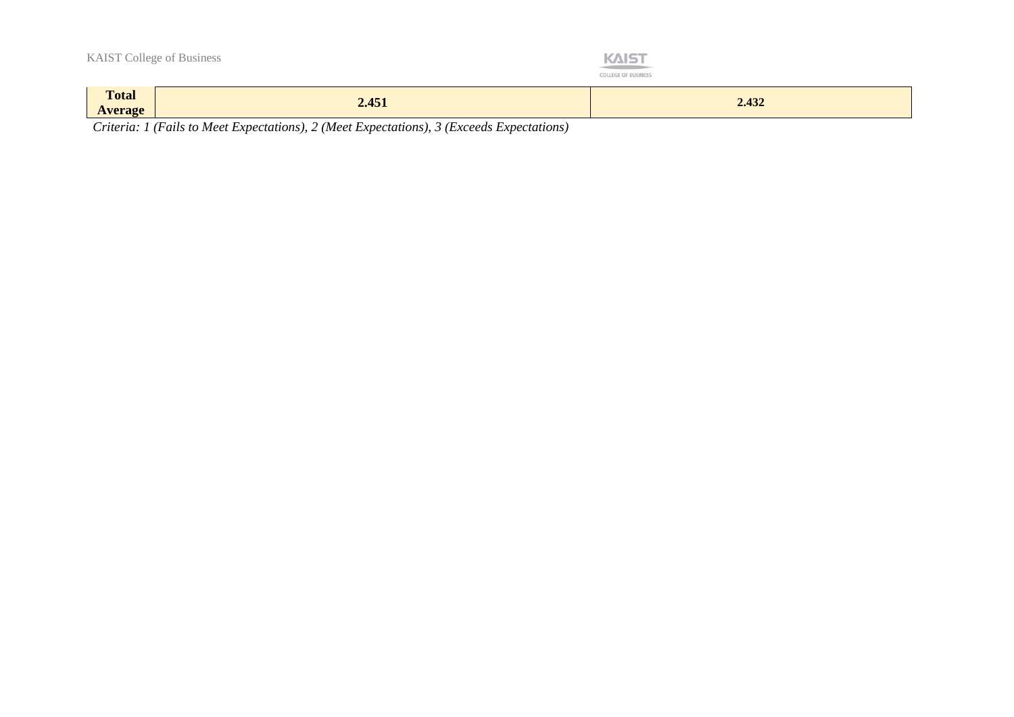| <b>Total</b><br><b>Average</b> | 2.451                            | 2.432                                                                       |
|--------------------------------|----------------------------------|-----------------------------------------------------------------------------|
|                                | <b>KAIST College of Business</b> | <b>KAIST</b><br><b>STERN TO AND THE STATE</b><br><b>COLLEGE OF BUSINESS</b> |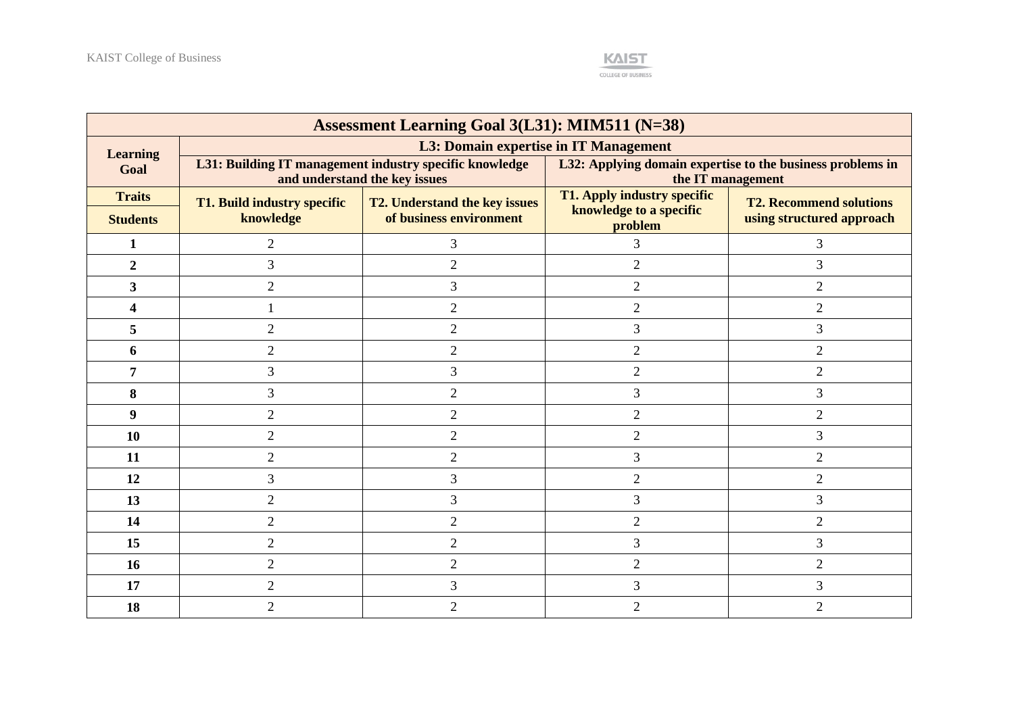

| <b>Assessment Learning Goal 3(L31): MIM511 (N=38)</b> |                             |                                                                                          |                                                                                 |                                |  |  |  |  |  |  |
|-------------------------------------------------------|-----------------------------|------------------------------------------------------------------------------------------|---------------------------------------------------------------------------------|--------------------------------|--|--|--|--|--|--|
| <b>Learning</b>                                       |                             | L3: Domain expertise in IT Management                                                    |                                                                                 |                                |  |  |  |  |  |  |
| Goal                                                  |                             | L31: Building IT management industry specific knowledge<br>and understand the key issues | L32: Applying domain expertise to the business problems in<br>the IT management |                                |  |  |  |  |  |  |
| <b>Traits</b>                                         | T1. Build industry specific | <b>T2. Understand the key issues</b>                                                     | T1. Apply industry specific                                                     | <b>T2. Recommend solutions</b> |  |  |  |  |  |  |
| <b>Students</b>                                       | knowledge                   | of business environment                                                                  | knowledge to a specific<br>problem                                              | using structured approach      |  |  |  |  |  |  |
| 1                                                     | $\overline{2}$              | 3                                                                                        | 3                                                                               | 3                              |  |  |  |  |  |  |
| $\overline{2}$                                        | 3                           | $\overline{2}$                                                                           | $\overline{2}$                                                                  | 3                              |  |  |  |  |  |  |
| 3                                                     | $\mathfrak{2}$              | 3                                                                                        | $\overline{2}$                                                                  | $\overline{2}$                 |  |  |  |  |  |  |
| 4                                                     |                             | $\overline{2}$                                                                           | $\overline{2}$                                                                  | $\overline{2}$                 |  |  |  |  |  |  |
| 5                                                     | $\mathfrak{2}$              | $\overline{2}$                                                                           | $\overline{3}$                                                                  | 3                              |  |  |  |  |  |  |
| 6                                                     | $\overline{2}$              | $\overline{2}$                                                                           | $\overline{2}$                                                                  | $\overline{2}$                 |  |  |  |  |  |  |
| 7                                                     | 3                           | 3                                                                                        | $\overline{2}$                                                                  | $\overline{2}$                 |  |  |  |  |  |  |
| 8                                                     | 3                           | $\overline{2}$                                                                           | 3                                                                               | 3                              |  |  |  |  |  |  |
| 9                                                     | $\overline{2}$              | $\overline{2}$                                                                           | $\overline{2}$                                                                  | $\overline{2}$                 |  |  |  |  |  |  |
| 10                                                    | $\overline{2}$              | $\overline{2}$                                                                           | $\overline{2}$                                                                  | 3                              |  |  |  |  |  |  |
| 11                                                    | $\mathfrak{2}$              | $\overline{2}$                                                                           | 3                                                                               | $\overline{2}$                 |  |  |  |  |  |  |
| 12                                                    | 3                           | 3                                                                                        | $\overline{2}$                                                                  | $\overline{2}$                 |  |  |  |  |  |  |
| 13                                                    | $\overline{2}$              | 3                                                                                        | 3                                                                               | 3                              |  |  |  |  |  |  |
| 14                                                    | $\overline{2}$              | $\overline{2}$                                                                           | $\overline{2}$                                                                  | $\overline{2}$                 |  |  |  |  |  |  |
| 15                                                    | $\mathfrak{2}$              | $\mathfrak{2}$                                                                           | 3                                                                               | 3                              |  |  |  |  |  |  |
| 16                                                    | $\overline{2}$              | $\overline{2}$                                                                           | $\overline{2}$                                                                  | $\overline{2}$                 |  |  |  |  |  |  |
| 17                                                    | $\mathfrak{2}$              | 3                                                                                        | $\overline{3}$                                                                  | 3                              |  |  |  |  |  |  |
| 18                                                    | $\overline{2}$              | $\overline{2}$                                                                           | $\mathfrak{D}$                                                                  | $\overline{2}$                 |  |  |  |  |  |  |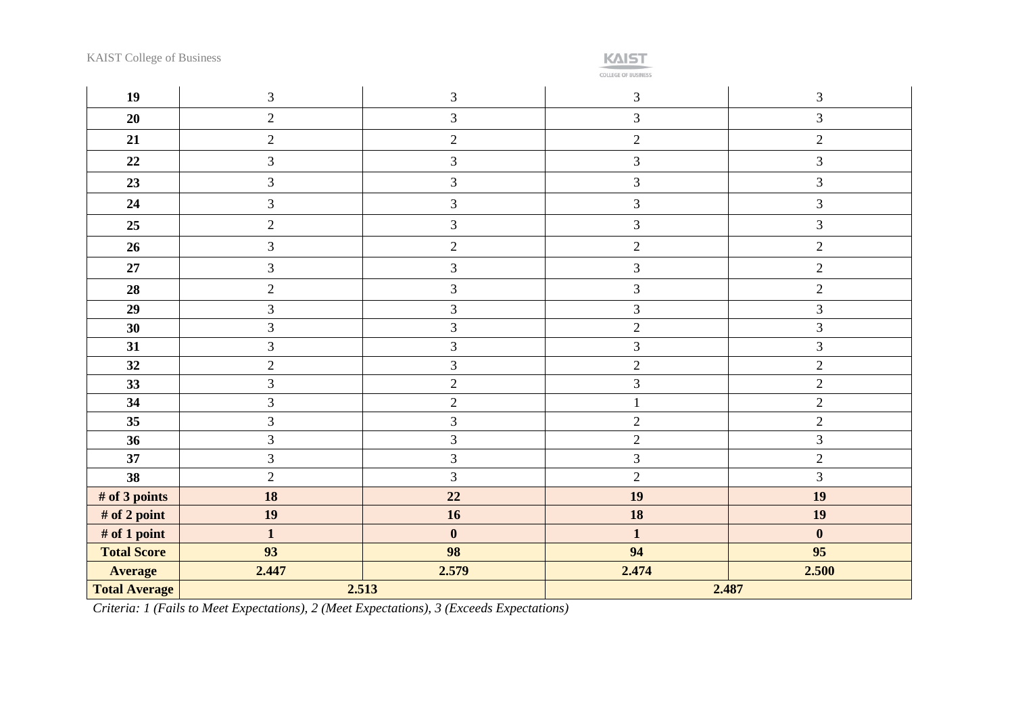**KAIST** 

COLLEGE OF BUSINESS

| 19                   | $\mathfrak{Z}$ | 3                | $\mathfrak{Z}$ | $\mathfrak{Z}$ |  |  |
|----------------------|----------------|------------------|----------------|----------------|--|--|
| 20                   | $\overline{2}$ | $\overline{3}$   | $\overline{3}$ | $\mathfrak{Z}$ |  |  |
| 21                   | $\overline{2}$ | $\overline{2}$   | $\overline{2}$ | $\overline{2}$ |  |  |
| $22\,$               | $\overline{3}$ | $\mathfrak{Z}$   | $\mathfrak{Z}$ | $\mathfrak{Z}$ |  |  |
| 23                   | $\overline{3}$ | 3                | $\mathfrak{Z}$ | $\mathfrak{Z}$ |  |  |
| 24                   | $\overline{3}$ | $\overline{3}$   | 3              | $\mathfrak{Z}$ |  |  |
| 25                   | $\overline{2}$ | $\overline{3}$   | 3              | $\mathfrak{Z}$ |  |  |
| 26                   | $\mathfrak{Z}$ | $\overline{2}$   | $\overline{c}$ | $\sqrt{2}$     |  |  |
| 27                   | $\overline{3}$ | $\overline{3}$   | $\mathfrak{Z}$ | $\overline{c}$ |  |  |
| 28                   | $\overline{c}$ | $\overline{3}$   | $\mathfrak{Z}$ | $\overline{c}$ |  |  |
| 29                   | 3              | $\overline{3}$   | $\overline{3}$ | $\mathfrak{Z}$ |  |  |
| 30                   | 3              | 3                | $\overline{2}$ | 3              |  |  |
| 31                   | $\overline{3}$ | 3                | $\overline{3}$ | 3              |  |  |
| 32                   | $\overline{2}$ | 3                | $\overline{2}$ | $\overline{c}$ |  |  |
| 33                   | $\overline{3}$ | $\overline{2}$   | $\overline{3}$ | $\overline{c}$ |  |  |
| 34                   | 3              | $\overline{2}$   | $\mathbf{1}$   | $\overline{2}$ |  |  |
| 35                   | $\overline{3}$ | $\overline{3}$   | $\overline{2}$ | $\overline{c}$ |  |  |
| 36                   | $\overline{3}$ | $\overline{3}$   | $\overline{2}$ | 3              |  |  |
| 37                   | 3              | 3                | $\overline{3}$ | $\overline{c}$ |  |  |
| 38                   | $\overline{2}$ | $\overline{3}$   | $\overline{2}$ | 3              |  |  |
| # of 3 points        | 18             | 22               | 19             | 19             |  |  |
| # of 2 point         | 19             | 16               | 18             | 19             |  |  |
| # of 1 point         | $\mathbf{1}$   | $\boldsymbol{0}$ | $\mathbf{1}$   | $\bf{0}$       |  |  |
| <b>Total Score</b>   | 93             | 98               | 94             | 95             |  |  |
| <b>Average</b>       | 2.447          | 2.579            | 2.474          | 2.500          |  |  |
| <b>Total Average</b> |                | 2.513            | 2.487          |                |  |  |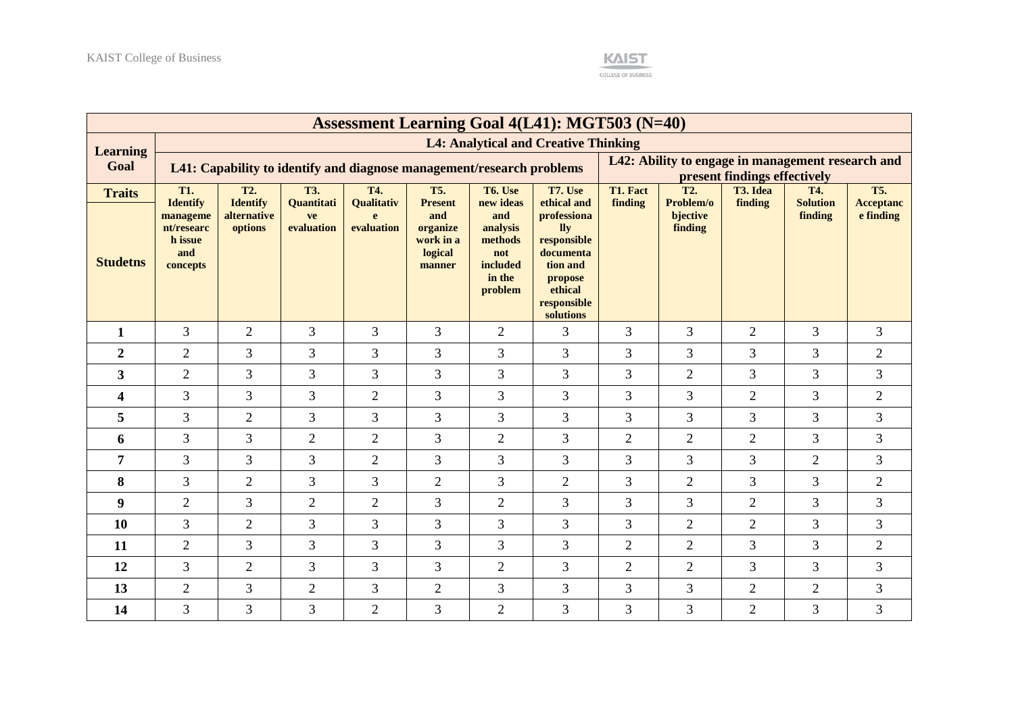

| <b>Assessment Learning Goal 4(L41): MGT503 (N=40)</b> |                                                                         |                                           |                                |                                          |                                                                     |                                                                                 |                                                                                                                             |                |                                  |                                                                                   |                            |                               |
|-------------------------------------------------------|-------------------------------------------------------------------------|-------------------------------------------|--------------------------------|------------------------------------------|---------------------------------------------------------------------|---------------------------------------------------------------------------------|-----------------------------------------------------------------------------------------------------------------------------|----------------|----------------------------------|-----------------------------------------------------------------------------------|----------------------------|-------------------------------|
| <b>Learning</b>                                       |                                                                         |                                           |                                |                                          |                                                                     |                                                                                 | <b>L4: Analytical and Creative Thinking</b>                                                                                 |                |                                  |                                                                                   |                            |                               |
| Goal                                                  | L41: Capability to identify and diagnose management/research problems   |                                           |                                |                                          |                                                                     |                                                                                 |                                                                                                                             |                |                                  | L42: Ability to engage in management research and<br>present findings effectively |                            |                               |
| <b>Traits</b>                                         | <b>T1.</b>                                                              | <b>T2.</b>                                | <b>T3.</b>                     | T4.                                      | <b>T5.</b>                                                          | T6. Use                                                                         | T7. Use                                                                                                                     | T1. Fact       | T <sub>2</sub> .                 | T3. Idea                                                                          | T4.                        | <b>T5.</b>                    |
| <b>Studetns</b>                                       | <b>Identify</b><br>manageme<br>nt/researc<br>h issue<br>and<br>concepts | <b>Identify</b><br>alternative<br>options | Quantitati<br>ve<br>evaluation | Qualitativ<br>$\mathbf{e}$<br>evaluation | <b>Present</b><br>and<br>organize<br>work in a<br>logical<br>manner | new ideas<br>and<br>analysis<br>methods<br>not<br>included<br>in the<br>problem | ethical and<br>professiona<br>lly<br>responsible<br>documenta<br>tion and<br>propose<br>ethical<br>responsible<br>solutions | finding        | Problem/o<br>bjective<br>finding | finding                                                                           | <b>Solution</b><br>finding | <b>Acceptanc</b><br>e finding |
| $\mathbf{1}$                                          | 3                                                                       | $\overline{2}$                            | $\overline{3}$                 | 3                                        | 3                                                                   | $\overline{2}$                                                                  | 3                                                                                                                           | 3              | 3                                | $\overline{2}$                                                                    | $\overline{3}$             | 3                             |
| $\overline{2}$                                        | $\overline{2}$                                                          | 3                                         | 3                              | 3                                        | 3                                                                   | 3                                                                               | 3                                                                                                                           | 3              | 3                                | 3                                                                                 | 3                          | $\overline{2}$                |
| $\overline{\mathbf{3}}$                               | $\overline{2}$                                                          | 3                                         | 3                              | 3                                        | 3                                                                   | 3                                                                               | 3                                                                                                                           | 3              | $\overline{2}$                   | 3                                                                                 | $\overline{3}$             | 3                             |
| $\overline{\mathbf{4}}$                               | 3                                                                       | 3                                         | 3                              | $\sqrt{2}$                               | 3                                                                   | 3                                                                               | 3                                                                                                                           | 3              | $\mathfrak{Z}$                   | $\mathbf{2}$                                                                      | 3                          | $\mathbf{2}$                  |
| 5                                                     | 3                                                                       | $\overline{2}$                            | $\overline{3}$                 | $\overline{3}$                           | 3                                                                   | $\overline{3}$                                                                  | 3                                                                                                                           | 3              | 3                                | 3                                                                                 | $\overline{3}$             | 3                             |
| 6                                                     | 3                                                                       | 3                                         | $\overline{2}$                 | $\overline{2}$                           | 3                                                                   | $\overline{2}$                                                                  | $\overline{3}$                                                                                                              | $\overline{2}$ | $\overline{2}$                   | $\overline{2}$                                                                    | $\overline{3}$             | 3                             |
| 7                                                     | 3                                                                       | 3                                         | $\overline{3}$                 | $\overline{2}$                           | 3                                                                   | 3                                                                               | 3                                                                                                                           | 3              | 3                                | 3                                                                                 | $\overline{2}$             | 3                             |
| 8                                                     | 3                                                                       | $\overline{2}$                            | 3                              | 3                                        | $\overline{2}$                                                      | 3                                                                               | $\overline{2}$                                                                                                              | 3              | $\overline{2}$                   | 3                                                                                 | $\overline{3}$             | $\overline{2}$                |
| 9                                                     | $\overline{2}$                                                          | 3                                         | $\overline{2}$                 | $\overline{2}$                           | 3                                                                   | $\overline{2}$                                                                  | 3                                                                                                                           | 3              | 3                                | $\overline{2}$                                                                    | 3                          | 3                             |
| 10                                                    | 3                                                                       | $\overline{2}$                            | 3                              | 3                                        | 3                                                                   | 3                                                                               | 3                                                                                                                           | 3              | $\overline{2}$                   | $\overline{2}$                                                                    | $\overline{3}$             | 3                             |
| 11                                                    | $\overline{2}$                                                          | 3                                         | 3                              | 3                                        | 3                                                                   | 3                                                                               | 3                                                                                                                           | $\overline{2}$ | $\sqrt{2}$                       | 3                                                                                 | $\overline{3}$             | $\sqrt{2}$                    |
| 12                                                    | 3                                                                       | $\overline{2}$                            | 3                              | 3                                        | 3                                                                   | $\overline{2}$                                                                  | 3                                                                                                                           | $\overline{2}$ | $\overline{2}$                   | 3                                                                                 | 3                          | 3                             |
| 13                                                    | $\overline{2}$                                                          | 3                                         | $\mathbf{2}$                   | 3                                        | $\overline{2}$                                                      | 3                                                                               | 3                                                                                                                           | 3              | 3                                | $\overline{2}$                                                                    | $\overline{2}$             | 3                             |
| 14                                                    | 3                                                                       | 3                                         | $\overline{3}$                 | $\overline{2}$                           | 3                                                                   | $\overline{2}$                                                                  | 3                                                                                                                           | 3              | 3                                | $\overline{2}$                                                                    | $\overline{3}$             | $\overline{3}$                |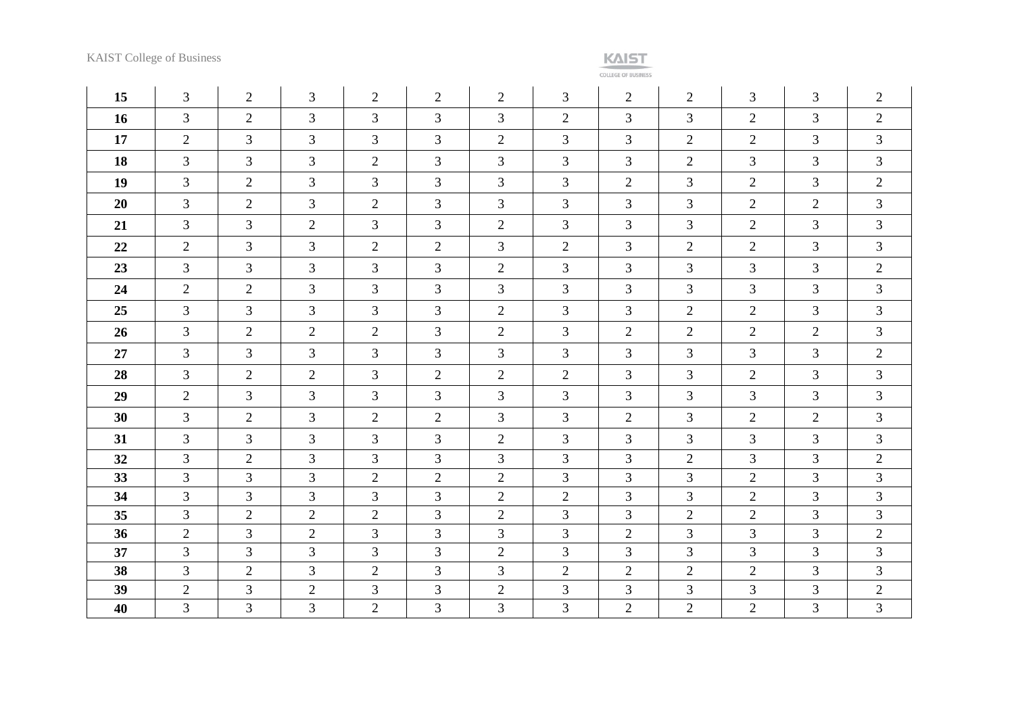**COLLEGE OF BUSINESS** 

| 15 | $\overline{3}$ | 2              | $\overline{3}$ | $\overline{2}$ | $\overline{2}$ | 2              | 3              | $\overline{2}$ | 2              | 3              | $\overline{3}$ | $\overline{2}$ |
|----|----------------|----------------|----------------|----------------|----------------|----------------|----------------|----------------|----------------|----------------|----------------|----------------|
| 16 | $\overline{3}$ | $\overline{2}$ | $\overline{3}$ | $\overline{3}$ | $\overline{3}$ | $\mathfrak{Z}$ | $\overline{2}$ | $\overline{3}$ | $\overline{3}$ | $\overline{2}$ | $\overline{3}$ | $\overline{2}$ |
| 17 | $\overline{2}$ | $\mathfrak{Z}$ | 3              | 3              | 3              | 2              | $\overline{3}$ | $\overline{3}$ | $\overline{2}$ | $\overline{2}$ | $\overline{3}$ | $\mathfrak{Z}$ |
| 18 | $\overline{3}$ | $\overline{3}$ | $\overline{3}$ | $\overline{2}$ | $\mathfrak{Z}$ | 3              | $\overline{3}$ | $\overline{3}$ | $\overline{2}$ | $\overline{3}$ | $\overline{3}$ | $\mathfrak{Z}$ |
| 19 | $\overline{3}$ | $\mathbf{2}$   | 3              | $\overline{3}$ | $\overline{3}$ | $\mathfrak{Z}$ | $\overline{3}$ | $\overline{2}$ | 3              | $\mathbf{2}$   | 3              | $\overline{2}$ |
| 20 | $\overline{3}$ | 2              | $\mathfrak{Z}$ | $\overline{2}$ | $\mathfrak{Z}$ | $\mathfrak{Z}$ | 3              | 3              | $\overline{3}$ | $\overline{2}$ | $\overline{2}$ | $\mathfrak{Z}$ |
| 21 | $\overline{3}$ | $\mathfrak{Z}$ | $\mathbf{2}$   | $\mathfrak{Z}$ | $\mathfrak{Z}$ | $\overline{2}$ | 3              | 3              | 3              | $\overline{2}$ | 3              | $\mathfrak{Z}$ |
| 22 | $\overline{2}$ | $\mathfrak{Z}$ | 3              | $\overline{2}$ | $\overline{2}$ | $\mathfrak{Z}$ | $\overline{2}$ | $\overline{3}$ | 2              | $\overline{2}$ | $\overline{3}$ | $\mathfrak{Z}$ |
| 23 | $\overline{3}$ | $\mathfrak{Z}$ | 3              | $\overline{3}$ | $\mathfrak{Z}$ | $\overline{2}$ | 3              | 3              | 3              | 3              | 3              | $\overline{2}$ |
| 24 | $\overline{2}$ | 2              | 3              | $\overline{3}$ | $\mathfrak{Z}$ | $\mathfrak{Z}$ | 3              | 3              | 3              | 3              | $\mathfrak{Z}$ | $\mathfrak{Z}$ |
| 25 | $\overline{3}$ | $\mathfrak{Z}$ | 3              | $\overline{3}$ | $\mathfrak{Z}$ | 2              | 3              | $\overline{3}$ | 2              | $\overline{2}$ | $\overline{3}$ | $\mathfrak{Z}$ |
| 26 | $\overline{3}$ | 2              | $\overline{2}$ | $\overline{2}$ | $\overline{3}$ | $\overline{2}$ | $\overline{3}$ | 2              | 2              | $\overline{2}$ | $\overline{2}$ | $\mathfrak{Z}$ |
| 27 | $\overline{3}$ | $\mathfrak{Z}$ | 3              | $\overline{3}$ | $\mathfrak{Z}$ | $\mathfrak{Z}$ | $\mathfrak{Z}$ | 3              | 3              | 3              | $\overline{3}$ | $\overline{2}$ |
| 28 | $\overline{3}$ | $\overline{2}$ | 2              | $\overline{3}$ | $\overline{2}$ | 2              | $\overline{2}$ | $\mathfrak{Z}$ | 3              | $\overline{2}$ | $\overline{3}$ | $\mathfrak{Z}$ |
| 29 | $\overline{2}$ | $\overline{3}$ | 3              | $\overline{3}$ | $\overline{3}$ | $\overline{3}$ | $\overline{3}$ | $\overline{3}$ | $\overline{3}$ | 3              | $\overline{3}$ | $\mathfrak{Z}$ |
| 30 | $\overline{3}$ | $\overline{2}$ | $\mathfrak{Z}$ | $\overline{2}$ | $\overline{2}$ | $\mathfrak{Z}$ | $\mathfrak{Z}$ | $\overline{2}$ | 3              | $\overline{2}$ | $\overline{2}$ | $\mathfrak{Z}$ |
| 31 | $\overline{3}$ | $\mathfrak{Z}$ | 3              | $\mathfrak{Z}$ | $\mathfrak{Z}$ | $\overline{2}$ | 3              | 3              | $\mathfrak{Z}$ | 3              | 3              | $\mathfrak{Z}$ |
| 32 | $\overline{3}$ | 2              | 3              | $\overline{3}$ | $\mathfrak{Z}$ | $\overline{3}$ | 3              | 3              | $\overline{2}$ | 3              | $\overline{3}$ | 2              |
| 33 | $\overline{3}$ | $\overline{3}$ | 3              | $\overline{2}$ | $\overline{2}$ | $\overline{2}$ | $\overline{3}$ | $\overline{3}$ | 3              | $\overline{2}$ | $\overline{3}$ | $\overline{3}$ |
| 34 | $\overline{3}$ | $\overline{3}$ | 3              | $\overline{3}$ | $\overline{3}$ | $\overline{2}$ | $\overline{2}$ | $\overline{3}$ | 3              | $\overline{2}$ | $\overline{3}$ | $\mathfrak{Z}$ |
| 35 | $\mathfrak{Z}$ | 2              | $\mathbf{2}$   | $\overline{2}$ | $\mathfrak{Z}$ | 2              | 3              | 3              | $\overline{2}$ | $\overline{2}$ | 3              | 3 <sup>7</sup> |
| 36 | $\overline{2}$ | $\overline{3}$ | $\mathbf{2}$   | $\overline{3}$ | 3              | $\mathfrak{Z}$ | 3              | $\overline{2}$ | 3              | 3              | 3              | 2              |
| 37 | $\overline{3}$ | 3              | 3              | $\overline{3}$ | 3              | $\overline{2}$ | $\overline{3}$ | $\overline{3}$ | $\overline{3}$ | 3              | $\overline{3}$ | $\mathfrak{Z}$ |
| 38 | 3              | 2              | 3              | $\sqrt{2}$     | 3              | $\mathfrak{Z}$ | $\overline{2}$ | $\overline{2}$ | $\mathfrak{2}$ | $\overline{2}$ | 3              | $\mathfrak{Z}$ |
| 39 | $\overline{2}$ | $\overline{3}$ | $\overline{2}$ | $\overline{3}$ | 3              | $\overline{2}$ | 3              | 3              | 3              | 3              | $\overline{3}$ | $\overline{2}$ |
| 40 | 3              | 3              | 3              | $\overline{2}$ | 3              | 3              | 3              | $\overline{2}$ | $\overline{2}$ | $\overline{2}$ | 3              | 3 <sup>7</sup> |